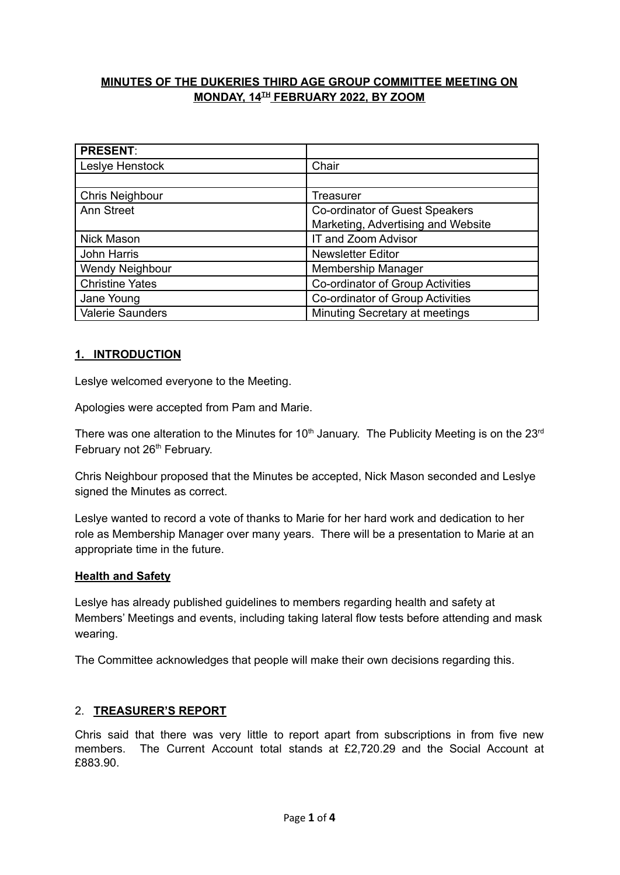# **MINUTES OF THE DUKERIES THIRD AGE GROUP COMMITTEE MEETING ON**  $MONDAY, 14<sup>TH</sup> FEBRUARY 2022, BY ZOOM$

| <b>PRESENT:</b>        |                                    |
|------------------------|------------------------------------|
| Leslye Henstock        | Chair                              |
|                        |                                    |
| <b>Chris Neighbour</b> | Treasurer                          |
| <b>Ann Street</b>      | Co-ordinator of Guest Speakers     |
|                        | Marketing, Advertising and Website |
| Nick Mason             | IT and Zoom Advisor                |
| John Harris            | <b>Newsletter Editor</b>           |
| Wendy Neighbour        | Membership Manager                 |
| <b>Christine Yates</b> | Co-ordinator of Group Activities   |
| Jane Young             | Co-ordinator of Group Activities   |
| Valerie Saunders       | Minuting Secretary at meetings     |

# **1. INTRODUCTION**

Leslye welcomed everyone to the Meeting.

Apologies were accepted from Pam and Marie.

There was one alteration to the Minutes for 10<sup>th</sup> January. The Publicity Meeting is on the 23<sup>rd</sup> February not 26<sup>th</sup> February.

Chris Neighbour proposed that the Minutes be accepted, Nick Mason seconded and Leslye signed the Minutes as correct.

Leslye wanted to record a vote of thanks to Marie for her hard work and dedication to her role as Membership Manager over many years. There will be a presentation to Marie at an appropriate time in the future.

### **Health and Safety**

Leslye has already published guidelines to members regarding health and safety at Members' Meetings and events, including taking lateral flow tests before attending and mask wearing.

The Committee acknowledges that people will make their own decisions regarding this.

### 2. **TREASURER'S REPORT**

Chris said that there was very little to report apart from subscriptions in from five new members. The Current Account total stands at £2,720.29 and the Social Account at £883.90.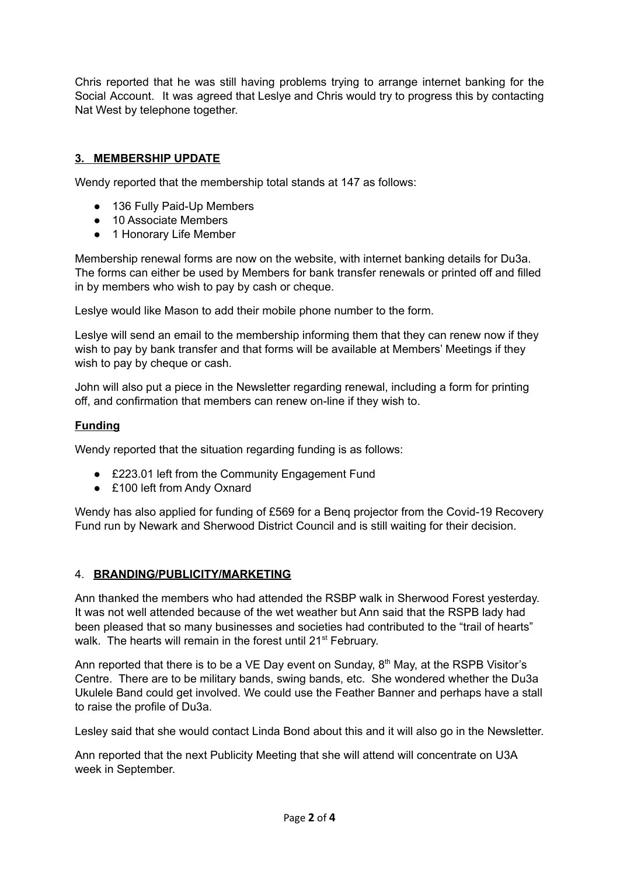Chris reported that he was still having problems trying to arrange internet banking for the Social Account. It was agreed that Leslye and Chris would try to progress this by contacting Nat West by telephone together.

# **3. MEMBERSHIP UPDATE**

Wendy reported that the membership total stands at 147 as follows:

- 136 Fully Paid-Up Members
- 10 Associate Members
- 1 Honorary Life Member

Membership renewal forms are now on the website, with internet banking details for Du3a. The forms can either be used by Members for bank transfer renewals or printed off and filled in by members who wish to pay by cash or cheque.

Leslye would like Mason to add their mobile phone number to the form.

Leslye will send an email to the membership informing them that they can renew now if they wish to pay by bank transfer and that forms will be available at Members' Meetings if they wish to pay by cheque or cash.

John will also put a piece in the Newsletter regarding renewal, including a form for printing off, and confirmation that members can renew on-line if they wish to.

### **Funding**

Wendy reported that the situation regarding funding is as follows:

- £223.01 left from the Community Engagement Fund
- £100 left from Andy Oxnard

Wendy has also applied for funding of £569 for a Benq projector from the Covid-19 Recovery Fund run by Newark and Sherwood District Council and is still waiting for their decision.

### 4. **BRANDING/PUBLICITY/MARKETING**

Ann thanked the members who had attended the RSBP walk in Sherwood Forest yesterday. It was not well attended because of the wet weather but Ann said that the RSPB lady had been pleased that so many businesses and societies had contributed to the "trail of hearts" walk. The hearts will remain in the forest until 21<sup>st</sup> February.

Ann reported that there is to be a VE Day event on Sunday,  $8<sup>th</sup>$  May, at the RSPB Visitor's Centre. There are to be military bands, swing bands, etc. She wondered whether the Du3a Ukulele Band could get involved. We could use the Feather Banner and perhaps have a stall to raise the profile of Du3a.

Lesley said that she would contact Linda Bond about this and it will also go in the Newsletter.

Ann reported that the next Publicity Meeting that she will attend will concentrate on U3A week in September.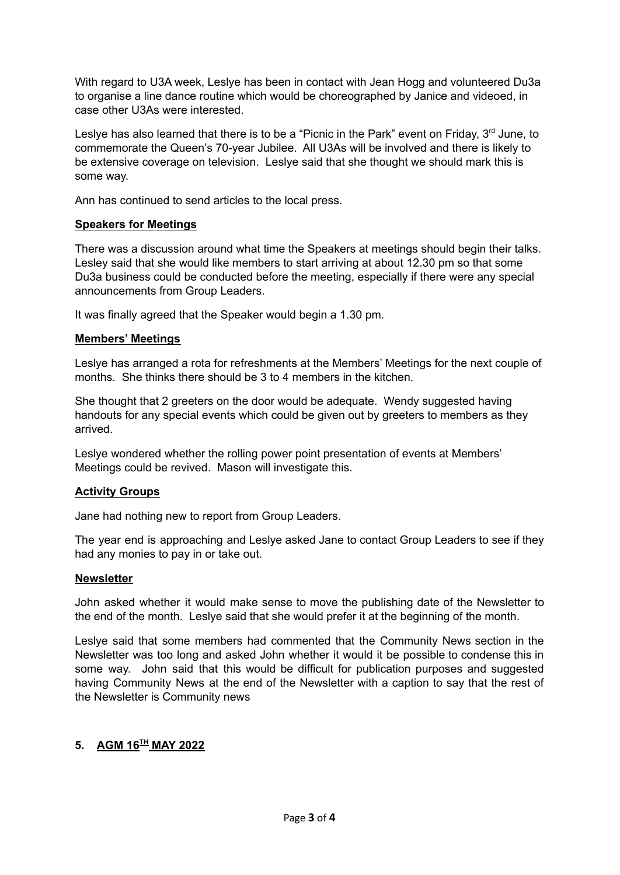With regard to U3A week, Leslye has been in contact with Jean Hogg and volunteered Du3a to organise a line dance routine which would be choreographed by Janice and videoed, in case other U3As were interested.

Leslye has also learned that there is to be a "Picnic in the Park" event on Friday, 3<sup>rd</sup> June, to commemorate the Queen's 70-year Jubilee. All U3As will be involved and there is likely to be extensive coverage on television. Leslye said that she thought we should mark this is some way.

Ann has continued to send articles to the local press.

# **Speakers for Meetings**

There was a discussion around what time the Speakers at meetings should begin their talks. Lesley said that she would like members to start arriving at about 12.30 pm so that some Du3a business could be conducted before the meeting, especially if there were any special announcements from Group Leaders.

It was finally agreed that the Speaker would begin a 1.30 pm.

### **Members' Meetings**

Leslye has arranged a rota for refreshments at the Members' Meetings for the next couple of months. She thinks there should be 3 to 4 members in the kitchen.

She thought that 2 greeters on the door would be adequate. Wendy suggested having handouts for any special events which could be given out by greeters to members as they arrived.

Leslye wondered whether the rolling power point presentation of events at Members' Meetings could be revived. Mason will investigate this.

# **Activity Groups**

Jane had nothing new to report from Group Leaders.

The year end is approaching and Leslye asked Jane to contact Group Leaders to see if they had any monies to pay in or take out.

### **Newsletter**

John asked whether it would make sense to move the publishing date of the Newsletter to the end of the month. Leslye said that she would prefer it at the beginning of the month.

Leslye said that some members had commented that the Community News section in the Newsletter was too long and asked John whether it would it be possible to condense this in some way. John said that this would be difficult for publication purposes and suggested having Community News at the end of the Newsletter with a caption to say that the rest of the Newsletter is Community news

# **5. AGM 16 TH MAY 2022**